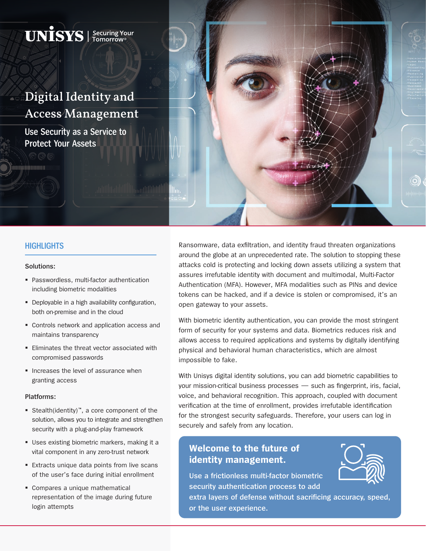# Digital Identity and Access Management

 $\mathbf{UNISS}$  | Securing Your

**Use Security as a Service to Protect Your Assets** 

## **HIGHLIGHTS**

### **Solutions:**

iiminiikumuu

- Passwordless, multi-factor authentication including biometric modalities
- **•** Deployable in a high availability configuration, both on-premise and in the cloud
- **Controls network and application access and** maintains transparency
- **Eliminates the threat vector associated with** compromised passwords
- **Increases the level of assurance when** granting access

#### **Platforms:**

- Stealth(identity)™, a core component of the solution, allows you to integrate and strengthen security with a plug-and-play framework
- Uses existing biometric markers, making it a vital component in any zero-trust network
- **Extracts unique data points from live scans** of the user's face during initial enrollment
- **Compares a unique mathematical** representation of the image during future login attempts

Ransomware, data exfiltration, and identity fraud threaten organizations around the globe at an unprecedented rate. The solution to stopping these attacks cold is protecting and locking down assets utilizing a system that assures irrefutable identity with document and multimodal, Multi-Factor Authentication (MFA). However, MFA modalities such as PINs and device tokens can be hacked, and if a device is stolen or compromised, it's an open gateway to your assets.

With biometric identity authentication, you can provide the most stringent form of security for your systems and data. Biometrics reduces risk and allows access to required applications and systems by digitally identifying physical and behavioral human characteristics, which are almost impossible to fake.

With Unisys digital identity solutions, you can add biometric capabilities to your mission-critical business processes — such as fingerprint, iris, facial, voice, and behavioral recognition. This approach, coupled with document verification at the time of enrollment, provides irrefutable identification for the strongest security safeguards. Therefore, your users can log in securely and safely from any location.

# **Welcome to the future of identity management.**



**Use a frictionless multi-factor biometric security authentication process to add** 

**extra layers of defense without sacrificing accuracy, speed, or the user experience.**